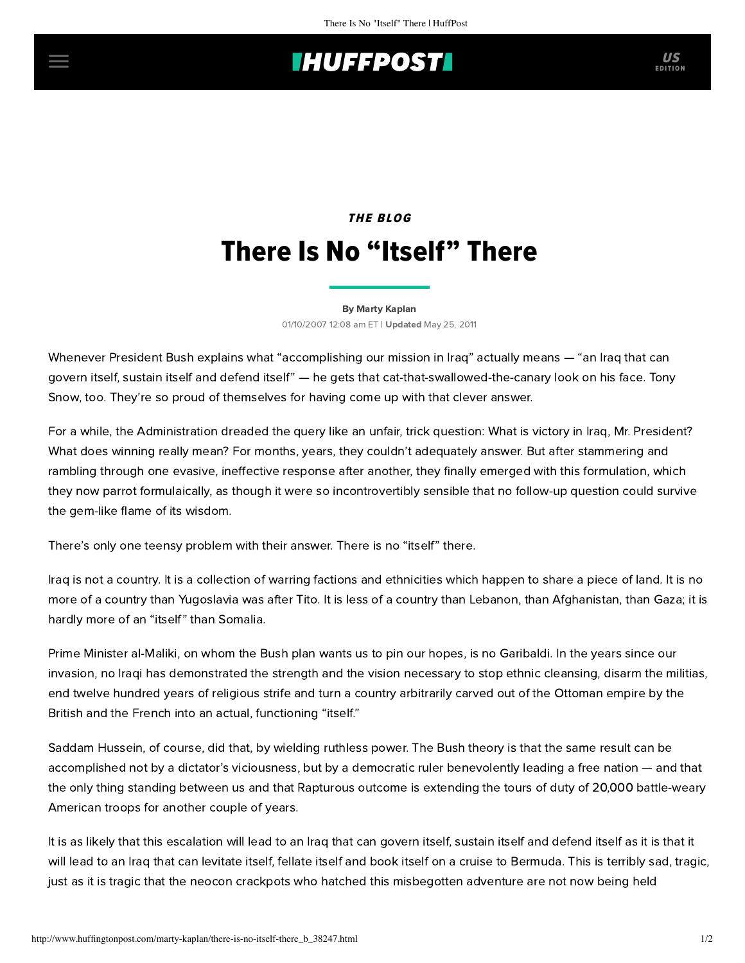## **IHUFFPOSTI** US

# **THE BLOG** There Is No "Itself" There

#### [By Marty Kaplan](http://www.huffingtonpost.com/author/marty-kaplan)

01/10/2007 12:08 am ET | Updated May 25, 2011

Whenever President Bush explains what "accomplishing our mission in Iraq" actually means — "an Iraq that can govern itself, sustain itself and defend itself" — he gets that cat-that-swallowed-the-canary look on his face. Tony Snow, too. They're so proud of themselves for having come up with that clever answer.

For a while, the Administration dreaded the query like an unfair, trick question: What is victory in Iraq, Mr. President? What does winning really mean? For months, years, they couldn't adequately answer. But after stammering and rambling through one evasive, ineffective response after another, they finally emerged with this formulation, which they now parrot formulaically, as though it were so incontrovertibly sensible that no follow-up question could survive the gem-like flame of its wisdom.

There's only one teensy problem with their answer. There is no "itself" there.

Iraq is not a country. It is a collection of warring factions and ethnicities which happen to share a piece of land. It is no more of a country than Yugoslavia was after Tito. It is less of a country than Lebanon, than Afghanistan, than Gaza; it is hardly more of an "itself" than Somalia.

Prime Minister al-Maliki, on whom the Bush plan wants us to pin our hopes, is no Garibaldi. In the years since our invasion, no Iraqi has demonstrated the strength and the vision necessary to stop ethnic cleansing, disarm the militias, end twelve hundred years of religious strife and turn a country arbitrarily carved out of the Ottoman empire by the British and the French into an actual, functioning "itself."

Saddam Hussein, of course, did that, by wielding ruthless power. The Bush theory is that the same result can be accomplished not by a dictator's viciousness, but by a democratic ruler benevolently leading a free nation — and that the only thing standing between us and that Rapturous outcome is extending the tours of duty of 20,000 battle-weary American troops for another couple of years.

It is as likely that this escalation will lead to an Iraq that can govern itself, sustain itself and defend itself as it is that it will lead to an Iraq that can levitate itself, fellate itself and book itself on a cruise to Bermuda. This is terribly sad, tragic, just as it is tragic that the neocon crackpots who hatched this misbegotten adventure are not now being held